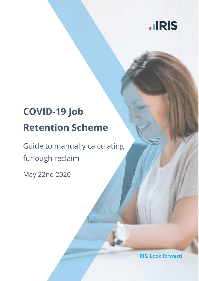

# **COVID-19 Job Retention Scheme**

Guide to manually calculating furlough reclaim

May 22nd 2020

**IRIS. Look forward**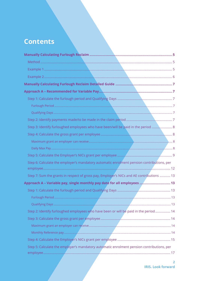# **Contents**

| Step 3: Identify furloughed employees who have been/will be paid in the period  8                               |  |
|-----------------------------------------------------------------------------------------------------------------|--|
|                                                                                                                 |  |
|                                                                                                                 |  |
|                                                                                                                 |  |
|                                                                                                                 |  |
| Step 6: Calculate the employer's mandatory automatic enrolment pension contributions, per                       |  |
| Step 7: Sum the grants in respect of gross pay, Employer's NICs and AE contributions  13                        |  |
| Approach A - Variable pay, single monthly pay date for all employees  13                                        |  |
|                                                                                                                 |  |
|                                                                                                                 |  |
| the contract of the contract of the contract of the contract of the contract of the contract of the contract of |  |
| Step 2: Identify furloughed employees who have been or will be paid in the period  14                           |  |
|                                                                                                                 |  |
|                                                                                                                 |  |
|                                                                                                                 |  |
|                                                                                                                 |  |
| Step 5: Calculate the employer's mandatory automatic enrolment pension contributions, per                       |  |
|                                                                                                                 |  |
|                                                                                                                 |  |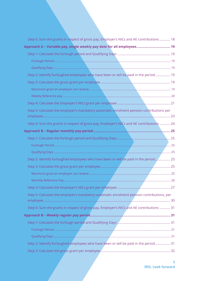| Step 6: Sum the grants in respect of gross pay, Employer's NICs and AE contributions  18  |  |
|-------------------------------------------------------------------------------------------|--|
| Approach A - Variable pay, single weekly pay date for all employees 19                    |  |
|                                                                                           |  |
|                                                                                           |  |
|                                                                                           |  |
| Step 2: Identify furloughed employees who have been or will be paid in the period 19      |  |
|                                                                                           |  |
|                                                                                           |  |
|                                                                                           |  |
|                                                                                           |  |
| Step 5: Calculate the employer's mandatory automatic enrolment pension contributions per  |  |
| Step 6: Sum the grants in respect of gross pay, Employer's NICs and AE contributions  24  |  |
|                                                                                           |  |
|                                                                                           |  |
|                                                                                           |  |
|                                                                                           |  |
| Step 2: Identify furloughed employees who have been or will be paid in the period  25     |  |
|                                                                                           |  |
|                                                                                           |  |
|                                                                                           |  |
|                                                                                           |  |
| Step 5: Calculate the employer's mandatory automatic enrolment pension contributions, per |  |
| Step 6: Sum the grants in respect of gross pay, Employer's NICs and AE contributions  31  |  |
|                                                                                           |  |
|                                                                                           |  |
|                                                                                           |  |
|                                                                                           |  |
| Step 2: Identify furloughed employees who have been or will be paid in the period 31      |  |
|                                                                                           |  |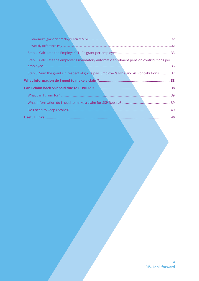| Step 5: Calculate the employer's mandatory automatic enrolment pension contributions per |  |
|------------------------------------------------------------------------------------------|--|
|                                                                                          |  |
| Step 6: Sum the grants in respect of gross pay, Employer's NICs and AE contributions  37 |  |
|                                                                                          |  |
|                                                                                          |  |
|                                                                                          |  |
|                                                                                          |  |
|                                                                                          |  |
|                                                                                          |  |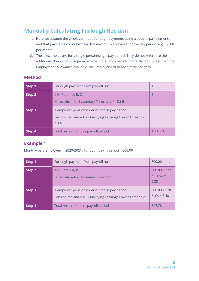# <span id="page-4-0"></span>**Manually Calculating Furlough Reclaim**

- 1. Here we assume the employer made furlough payments using a specific pay element, and that payments did not exceed the maximum allowable for the pay period, e.g. £2500 per month
- 2. These examples are for a single person/single pay period. They do not reference the additional check that is required where, if the Employer's NI to be claimed is less than the Employment Allowance available, the Employer's NI to reclaim will be zero

### <span id="page-4-1"></span>**Method**

| Step 1 | Furlough payment from payroll run                                                                                     | $\overline{A}$ |
|--------|-----------------------------------------------------------------------------------------------------------------------|----------------|
| Step 2 | If NI Rate = A, B, C, J<br>NI reclaim = $A -$ Secondary Threshold $*$ 13.8%                                           | B              |
| Step 3 | If employer pension contribution in pay period<br>Pension reclaim = A - Qualifying Earnings Lower Threshold<br>$*3\%$ |                |
| Step 4 | Total reclaim for this payroll period                                                                                 | $A + B + C$    |

### <span id="page-4-2"></span>**Example 1**

Monthly paid employee in 2020/2021. Furlough pay in period = 800.00

| Step 1 | Furlough payment from payroll run                                                                           | 800.00                                 |
|--------|-------------------------------------------------------------------------------------------------------------|----------------------------------------|
| Step 2 | If NI Rate = A, B, C, J<br>NI reclaim $= A -$ Secondary Threshold                                           | $800.00 - 732$<br>$* 13.8\% =$<br>9.38 |
| Step 3 | If employer pension contribution in pay period<br>Pension reclaim = A - Qualifying Earnings Lower Threshold | $800.00 - 520$<br>$*3\% = 8.40$        |
| Step 4 | Total reclaim for this payroll period                                                                       | 817.78                                 |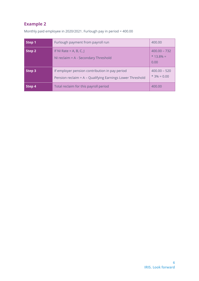### <span id="page-5-0"></span>**Example 2**

| Step 1        | Furlough payment from payroll run                                                                           | 400.00                                 |
|---------------|-------------------------------------------------------------------------------------------------------------|----------------------------------------|
| Step 2        | If NI Rate = A, B, C, J<br>NI reclaim $= A -$ Secondary Threshold                                           | $400.00 - 732$<br>$* 13.8\% =$<br>0.00 |
| Step 3        | If employer pension contribution in pay period<br>Pension reclaim = A - Qualifying Earnings Lower Threshold | $400.00 - 520$<br>$*3\% = 0.00$        |
| <b>Step 4</b> | Total reclaim for this payroll period                                                                       | 400.00                                 |

Monthly paid employee in 2020/2021. Furlough pay in period = 400.00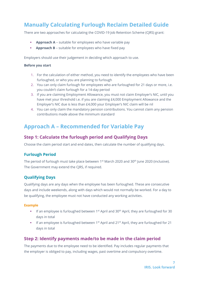# <span id="page-6-0"></span>**Manually Calculating Furlough Reclaim Detailed Guide**

There are two approaches for calculating the COVID-19 Job Retention Scheme (CJRS) grant:

- **EXECT Approach A** suitable for employees who have variable pay
- **Approach B** suitable for employees who have fixed pay

Employers should use their judgement in deciding which approach to use.

#### **Before you start**

- 1. For the calculation of either method, you need to identify the employees who have been furloughed, or who you are planning to furlough
- 2. You can only claim furlough for employees who are furloughed for 21 days or more, i.e. you couldn't claim furlough for a 14-day period
- 3. If you are claiming Employment Allowance, you must not claim Employer's NIC, until you have met your threshold i.e. if you are claiming £4,000 Employment Allowance and the Employer's NIC due is less than £4,000 your Employer's NIC claim will be nil
- 4. You can only claim the mandatory pension contributions. You cannot claim any pension contributions made above the minimum standard

## <span id="page-6-1"></span>**Approach A – Recommended for Variable Pay**

### <span id="page-6-2"></span>**Step 1: Calculate the furlough period and Qualifying Days**

Choose the claim period start and end dates, then calculate the number of qualifying days.

### <span id="page-6-3"></span>**Furlough Period**

The period of furlough must take place between  $1<sup>st</sup>$  March 2020 and 30<sup>th</sup> June 2020 (inclusive). The Government may extend the CJRS, if required.

### <span id="page-6-4"></span>**Qualifying Days**

Qualifying days are any days when the employee has been furloughed. These are consecutive days and include weekends, along with days which would not normally be worked. For a day to be qualifying, the employee must not have conducted any working activities.

#### **Example**

- **■** If an employee is furloughed between 1<sup>st</sup> April and 30<sup>th</sup> April, they are furloughed for 30 days in total
- **•** If an employee is furloughed between 1<sup>st</sup> April and 21<sup>st</sup> April, they are furloughed for 21 days in total

### <span id="page-6-5"></span>**Step 2: Identify payments made/to be made in the claim period**

The payments due to the employee need to be identified. Pay includes regular payments that the employer is obliged to pay, including wages, past overtime and compulsory overtime.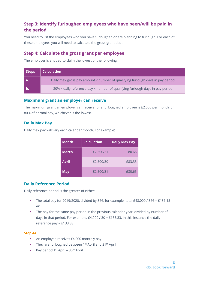### <span id="page-7-0"></span>**Step 3: Identify furloughed employees who have been/will be paid in the period**

You need to list the employees who you have furloughed or are planning to furlough. For each of these employees you will need to calculate the gross grant due.

### <span id="page-7-1"></span>**Step 4: Calculate the gross grant per employee**

The employer is entitled to claim the lowest of the following:

| Steps | <b>Calculation</b>                                                            |
|-------|-------------------------------------------------------------------------------|
|       | Daily max gross pay amount x number of qualifying furlough days in pay period |
|       | 80% x daily reference pay x number of qualifying furlough days in pay period  |

### <span id="page-7-2"></span>**Maximum grant an employer can receive**

The maximum grant an employer can receive for a furloughed employee is £2,500 per month, or 80% of normal pay, whichever is the lowest.

### <span id="page-7-3"></span>**Daily Max Pay**

Daily max pay will vary each calendar month. For example:

| <b>Month</b> | <b>Calculation</b> | <b>Daily Max Pay</b> |
|--------------|--------------------|----------------------|
| <b>March</b> | £2,500/31          | £80.65               |
| <b>April</b> | £2,500/30          | £83.33               |
| <b>May</b>   | £2,500/31          | £80.65               |

### **Daily Reference Period**

Daily reference period is the greater of either:

- **•** The total pay for 2019/2020, divided by 366, for example, total £48,000 / 366 = £131.15 **or**
- **•** The pay for the same pay period in the previous calendar year, divided by number of days in that period. For example, £4,000 / 30 = £133.33. In this instance the daily reference pay = £133.33

#### **Step 4A**

- An employee receives £4,000 monthly pay
- **•** They are furloughed between 1<sup>st</sup> April and 21<sup>st</sup> April
- **•** Pay period 1<sup>st</sup> April 30<sup>th</sup> April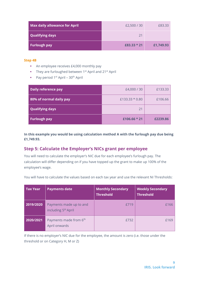| <b>Max daily allowance for April</b> | £2,500 / 30 | £83.33    |
|--------------------------------------|-------------|-----------|
| <b>Qualifying days</b>               | 21          |           |
| <b>Furlough pay</b>                  | £83.33 * 21 | £1,749.93 |

#### **Step 4B**

- An employee receives £4,000 monthly pay
- **•** They are furloughed between  $1^{st}$  April and  $21^{st}$  April
- **•** Pay period  $1^{st}$  April  $30^{th}$  April

| Daily reference pay     | £4,000 / 30    | £133.33  |
|-------------------------|----------------|----------|
| 80% of normal daily pay | £133.33 * 0.80 | £106.66  |
| <b>Qualifying days</b>  | 21             |          |
| Furlough pay            | £106.66 $*$ 21 | £2239.86 |

**In this example you would be using calculation method A with the furlough pay due being £1,749.93.**

### <span id="page-8-0"></span>**Step 5: Calculate the Employer's NICs grant per employee**

You will need to calculate the employer's NIC due for each employee's furlough pay. The calculation will differ depending on if you have topped up the grant to make up 100% of the employee's wage.

You will have to calculate the values based on each tax year and use the relevant NI Thresholds:

| <b>Tax Year</b> | <b>Payments date</b>                                       | <b>Monthly Secondary</b><br><b>Threshold</b> | <b>Weekly Secondary</b><br><b>Threshold</b> |
|-----------------|------------------------------------------------------------|----------------------------------------------|---------------------------------------------|
| 2019/2020       | Payments made up to and<br>including 5 <sup>th</sup> April | £719                                         | £166                                        |
| 2020/2021       | Payments made from 6 <sup>th</sup><br>April onwards        | £732                                         | £169                                        |

If there is no employer's NIC due for the employee, the amount is zero (i.e. those under the threshold or on Category H, M or Z)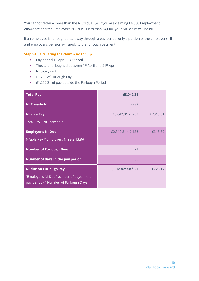You cannot reclaim more than the NIC's due, i.e. if you are claiming £4,000 Employment Allowance and the Employer's NIC due is less than £4,000, your NIC claim will be nil.

If an employee is furloughed part way through a pay period, only a portion of the employer's NI and employer's pension will apply to the furlough payment.

#### **Step 5A Calculating the claim – no top up**

- **•** Pay period  $1^{st}$  April  $30^{th}$  April
- They are furloughed between 1<sup>st</sup> April and 21<sup>st</sup> April
- NI category A
- **E1,750 of Furlough Pay**
- **E1,292.31 of pay outside the Furlough Period**

| <b>Total Pay</b>                                                                  | £3,042.31           |          |
|-----------------------------------------------------------------------------------|---------------------|----------|
| <b>NI Threshold</b>                                                               | £732                |          |
| <b>Nl'able Pay</b>                                                                | £3,042.31 - £732    | £2310.31 |
| Total Pay - NI Threshold                                                          |                     |          |
| <b>Employer's NI Due</b>                                                          | £2,310.31 $*$ 0.138 | £318.82  |
| NI'able Pay * Employers NI rate 13.8%                                             |                     |          |
| <b>Number of Furlough Days</b>                                                    | 21                  |          |
| Number of days in the pay period                                                  | 30                  |          |
| <b>NI due on Furlough Pay</b>                                                     | (£318.82/30) * 21   | £223.17  |
| (Employer's NI Due/Number of days in the<br>pay period) * Number of Furlough Days |                     |          |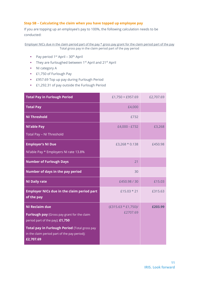#### **Step 5B – Calculating the claim when you have topped up employee pay**

If you are topping up an employee's pay to 100%, the following calculation needs to be conducted:

Employer NICs due in the claim period part of the pay \* gross pay grant for the claim period part of the pay Total gross pay in the claim period part of the pay period

- **•** Pay period  $1^{st}$  April  $30^{th}$  April
- They are furloughed between 1<sup>st</sup> April and 21<sup>st</sup> April
- NI category A
- **E** 1,750 of Furlough Pay
- **E957.69 Top up pay during Furlough Period**
- **E1,292.31 of pay outside the Furlough Period**

| <b>Total Pay in Furlough Period</b>                                            | $£1,750 + £957.69$     | £2,707.69 |
|--------------------------------------------------------------------------------|------------------------|-----------|
| <b>Total Pay</b>                                                               | £4,000                 |           |
| <b>NI Threshold</b>                                                            | £732                   |           |
| <b>Nl'able Pay</b>                                                             | £4,000 - £732          | £3,268    |
| Total Pay - NI Threshold                                                       |                        |           |
| <b>Employer's NI Due</b>                                                       | £3,268 * 0.138         | £450.98   |
| NI'able Pay * Employers NI rate 13.8%                                          |                        |           |
| <b>Number of Furlough Days</b>                                                 | 21                     |           |
| Number of days in the pay period                                               | 30                     |           |
| <b>NI Daily rate</b>                                                           | £450.98 / 30           | £15.03    |
| <b>Employer NICs due in the claim period part</b><br>of the pay                | £15.03 $*$ 21          | £315.63   |
| <b>NI Reclaim due</b>                                                          | $(E315.63 * E1,750)$ / | £203.99   |
| Furlough pay (Gross pay grant for the claim<br>period part of the pay): £1,750 | £2707.69               |           |
| Total pay in Furlough Period (Total gross pay                                  |                        |           |
| in the claim period part of the pay period):<br>£2,707.69                      |                        |           |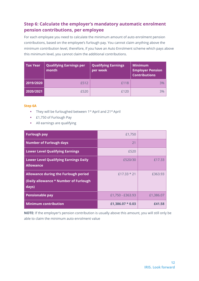### <span id="page-11-0"></span>**Step 6: Calculate the employer's mandatory automatic enrolment pension contributions, per employee**

For each employee you need to calculate the minimum amount of auto enrolment pension contributions, based on the employee's furlough pay. You cannot claim anything above the minimum contribution level, therefore, if you have an Auto Enrolment scheme which pays above this minimum level, you cannot claim the additional contributions.

| <b>Tax Year</b> | <b>Qualifying Earnings per</b><br>month | <b>Qualifying Earnings</b><br>per week | <b>Minimum</b><br><b>Employer Pension</b><br><b>Contributions</b> |
|-----------------|-----------------------------------------|----------------------------------------|-------------------------------------------------------------------|
| 2019/2020       | £512                                    | £118                                   | 3%                                                                |
| 2020/2021       | £520                                    | f120                                   | 3%                                                                |

#### **Step 6A**

- They will be furloughed between 1<sup>st</sup> April and 21<sup>st</sup> April
- **E** 1,750 of Furlough Pay
- All earnings are qualifying

| <b>Furlough pay</b>                                                                    | £1,750             |           |
|----------------------------------------------------------------------------------------|--------------------|-----------|
| <b>Number of Furlough days</b>                                                         | 21                 |           |
| <b>Lower Level Qualifying Earnings</b>                                                 | £520               |           |
| <b>Lower Level Qualifying Earnings Daily</b><br><b>Allowance</b>                       | £520/30            | £17.33    |
| Allowance during the Furlough period<br>(Daily allowance * Number of Furlough<br>days) | $f17.33 * 21$      | £363.93   |
| <b>Pensionable pay</b>                                                                 | £1,750 - £363.93   | £1,386.07 |
| <b>Minimum contribution</b>                                                            | £1,386.07 $*$ 0.03 | £41.58    |

**NOTE:** If the employer's pension contribution is usually above this amount, you will still only be able to claim the minimum auto enrolment value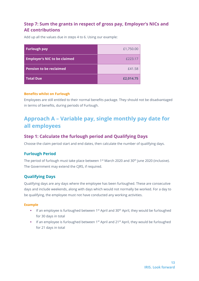### <span id="page-12-0"></span>**Step 7: Sum the grants in respect of gross pay, Employer's NICs and AE contributions**

Add up all the values due in steps 4 to 6. Using our example:

| <b>Furlough pay</b>                 | £1,750.00 |
|-------------------------------------|-----------|
| <b>Employer's NIC to be claimed</b> | £223.17   |
| <b>Pension to be reclaimed</b>      | £41.58    |
| <b>Total Due</b>                    | £2,014.75 |

#### **Benefits whilst on Furlough**

Employees are still entitled to their normal benefits package. They should not be disadvantaged in terms of benefits, during periods of Furlough.

# <span id="page-12-1"></span>**Approach A – Variable pay, single monthly pay date for all employees**

### <span id="page-12-2"></span>**Step 1: Calculate the furlough period and Qualifying Days**

Choose the claim period start and end dates, then calculate the number of qualifying days.

### <span id="page-12-3"></span>**Furlough Period**

The period of furlough must take place between 1<sup>st</sup> March 2020 and 30<sup>th</sup> June 2020 (inclusive). The Government may extend the CJRS, if required.

### <span id="page-12-4"></span>**Qualifying Days**

Qualifying days are any days where the employee has been furloughed. These are consecutive days and include weekends, along with days which would not normally be worked. For a day to be qualifying, the employee must not have conducted any working activities.

#### **Example**

- **■** If an employee is furloughed between 1<sup>st</sup> April and  $30<sup>th</sup>$  April, they would be furloughed for 30 days in total
- If an employee is furloughed between 1<sup>st</sup> April and 21<sup>st</sup> April, they would be furloughed for 21 days in total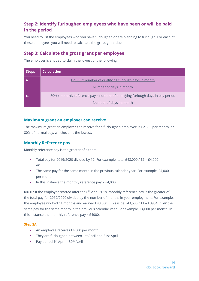### <span id="page-13-0"></span>**Step 2: Identify furloughed employees who have been or will be paid in the period**

You need to list the employees who you have furloughed or are planning to furlough. For each of these employees you will need to calculate the gross grant due.

### <span id="page-13-1"></span>**Step 3: Calculate the gross grant per employee**

The employer is entitled to claim the lowest of the following:

| <b>Steps</b> | <b>Calculation</b>                                                             |
|--------------|--------------------------------------------------------------------------------|
|              | £2,500 x number of qualifying furlough days in month                           |
|              | Number of days in month                                                        |
|              | 80% x monthly reference pay x number of qualifying furlough days in pay period |
|              | Number of days in month                                                        |

### <span id="page-13-2"></span>**Maximum grant an employer can receive**

The maximum grant an employer can receive for a furloughed employee is £2,500 per month, or 80% of normal pay, whichever is the lowest.

### <span id="page-13-3"></span>**Monthly Reference pay**

Monthly reference pay is the greater of either:

- Total pay for 2019/2020 divided by 12. For example, total £48,000 / 12 = £4,000 **or**
- **•** The same pay for the same month in the previous calendar year. For example, £4,000 per month
- $\blacksquare$  In this instance the monthly reference pay = £4,000

**NOTE:** If the employee started after the 6th April 2019, monthly reference pay is the greater of the total pay for 2019/2020 divided by the number of months in your employment. For example, the employee worked 11 months and earned £43,500. This is be £43,500 / 11 = £3954.55 **or** the same pay for the same month in the previous calendar year. For example, £4,000 per month. In this instance the monthly reference pay = £4000.

#### **Step 3A**

- An employee receives £4,000 per month
- They are furloughed between 1st April and 21st April
- **•** Pay period  $1^{st}$  April  $30^{th}$  April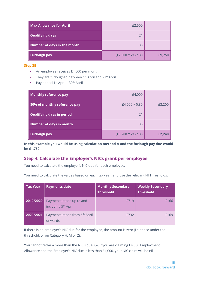| <b>Max Allowance for April</b> | £2,500               |        |
|--------------------------------|----------------------|--------|
| <b>Qualifying days</b>         | 21                   |        |
| Number of days in the month    | 30                   |        |
| <b>Furlough pay</b>            | $(E2,500 * 21) / 30$ | £1,750 |

#### **Step 3B**

- An employee receives £4,000 per month
- They are furloughed between 1<sup>st</sup> April and 21<sup>st</sup> April
- **•** Pay period  $1^{st}$  April  $30^{th}$  April

| <b>Monthly reference pay</b>     | £4,000               |        |
|----------------------------------|----------------------|--------|
| 80% of monthly reference pay     | £4,000 * 0.80        | £3,200 |
| <b>Qualifying days in period</b> | 21                   |        |
| Number of days in month          | 30                   |        |
| <b>Furlough pay</b>              | $(E3,200 * 21) / 30$ | £2,240 |

**In this example you would be using calculation method A and the furlough pay due would be £1,750**

### <span id="page-14-0"></span>**Step 4: Calculate the Employer's NICs grant per employee**

You need to calculate the employer's NIC due for each employee.

You need to calculate the values based on each tax year, and use the relevant NI Thresholds:

| <b>Tax Year</b> | <b>Payments date</b>                                       | <b>Monthly Secondary</b><br><b>Threshold</b> | <b>Weekly Secondary</b><br><b>Threshold</b> |
|-----------------|------------------------------------------------------------|----------------------------------------------|---------------------------------------------|
| 2019/2020       | Payments made up to and<br>including 5 <sup>th</sup> April | <b>£719</b>                                  | £166                                        |
| 2020/2021       | Payments made from 6 <sup>th</sup> April<br>onwards        | £732                                         | £169                                        |

If there is no employer's NIC due for the employee, the amount is zero (i.e. those under the threshold, or on Category H, M or Z).

You cannot reclaim more than the NIC's due. i.e. if you are claiming £4,000 Employment Allowance and the Employer's NIC due is less than £4,000, your NIC claim will be nil.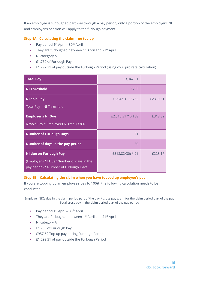If an employee is furloughed part way through a pay period, only a portion of the employer's NI and employer's pension will apply to the furlough payment.

#### **Step 4A - Calculating the claim – no top up**

- $\blacksquare$  Pay period 1<sup>st</sup> April 30<sup>th</sup> April
- **•** They are furloughed between  $1^{st}$  April and  $21^{st}$  April
- NI category A
- **E** £1,750 of Furlough Pay
- £1,292.31 of pay outside the Furlough Period (using your pro rata calculation)

| <b>Total Pay</b>                                                                   | £3,042.31           |          |
|------------------------------------------------------------------------------------|---------------------|----------|
| <b>NI Threshold</b>                                                                | £732                |          |
| <b>Nl'able Pay</b>                                                                 | £3,042.31 - £732    | £2310.31 |
| Total Pay - NI Threshold                                                           |                     |          |
| <b>Employer's NI Due</b>                                                           | £2,310.31 $*$ 0.138 | £318.82  |
| NI'able Pay * Employers NI rate 13.8%                                              |                     |          |
| <b>Number of Furlough Days</b>                                                     | 21                  |          |
| Number of days in the pay period                                                   | 30                  |          |
| <b>NI due on Furlough Pay</b>                                                      | $(E318.82/30) * 21$ | £223.17  |
| (Employer's NI Due/ Number of days in the<br>pay period) * Number of Furlough Days |                     |          |

#### **Step 4B – Calculating the claim when you have topped up employee's pay**

If you are topping up an employee's pay to 100%, the following calculation needs to be conducted:

Employer NICs due in the claim period part of the pay \* gross pay grant for the claim period part of the pay Total gross pay in the claim period part of the pay period

- **•** Pay period  $1^{st}$  April  $30^{th}$  April
- They are furloughed between 1<sup>st</sup> April and 21<sup>st</sup> April
- NI category A
- **E** 1,750 of Furlough Pay
- £957.69 Top up pay during Furlough Period
- **E** £1,292.31 of pay outside the Furlough Period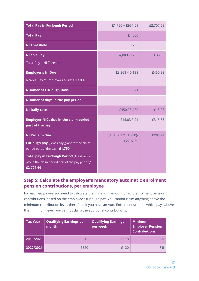| <b>Total Pay in Furlough Period</b>                                                                        | $£1,750 + £957.69$     | £2,707.69 |
|------------------------------------------------------------------------------------------------------------|------------------------|-----------|
| <b>Total Pay</b>                                                                                           | £4,000                 |           |
| <b>NI Threshold</b>                                                                                        | £732                   |           |
| <b>NI'able Pay</b>                                                                                         | £4,000 - £732          | £3,268    |
| Total Pay - NI Threshold                                                                                   |                        |           |
| <b>Employer's NI Due</b>                                                                                   | £3,268 $*$ 0.138       | £450.98   |
| NI'able Pay * Employers NI rate 13.8%                                                                      |                        |           |
| <b>Number of Furlough Days</b>                                                                             | 21                     |           |
| Number of days in the pay period                                                                           | 30                     |           |
| <b>NI Daily rate</b>                                                                                       | £450.98 / 30           | £15.03    |
| <b>Employer NICs due in the claim period</b><br>part of the pay                                            | £15.03 $*$ 21          | £315.63   |
| <b>NI Reclaim due</b>                                                                                      | $(E315.63 * E1,750)$ / | £203.99   |
| Furlough pay (Gross pay grant for the claim<br>period part of the pay): £1,750                             | £2707.69               |           |
| Total pay in Furlough Period (Total gross<br>pay in the claim period part of the pay period):<br>£2,707.69 |                        |           |

### <span id="page-16-0"></span>**Step 5: Calculate the employer's mandatory automatic enrolment pension contributions, per employee**

For each employee you need to calculate the minimum amount of auto enrolment pension contributions, based on the employee's furlough pay. You cannot claim anything above the minimum contribution level, therefore, if you have an Auto Enrolment scheme which pays above this minimum level, you cannot claim the additional contributions.

| <b>Tax Year</b> | <b>Qualifying Earnings per</b><br>month | <b>Qualifying Earnings</b><br>per week | <b>Minimum</b><br><b>Employer Pension</b><br><b>Contributions</b> |
|-----------------|-----------------------------------------|----------------------------------------|-------------------------------------------------------------------|
| 2019/2020       | £512                                    | £118                                   | 3%                                                                |
| 2020/2021       | £520                                    | £120                                   | 3%                                                                |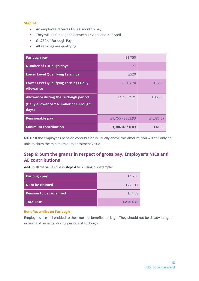#### **Step 5A**

- An employee receives £4,000 monthly pay
- They will be furloughed between 1<sup>st</sup> April and 21<sup>st</sup> April
- **E** 1,750 of Furlough Pay
- All earnings are qualifying

| <b>Furlough pay</b>                                                                    | £1,750             |           |
|----------------------------------------------------------------------------------------|--------------------|-----------|
| <b>Number of Furlough days</b>                                                         | 21                 |           |
| <b>Lower Level Qualifying Earnings</b>                                                 | £520               |           |
| <b>Lower Level Qualifying Earnings Daily</b><br><b>Allowance</b>                       | £520/30            | £17.33    |
| Allowance during the Furlough period<br>(Daily allowance * Number of Furlough<br>days) | $f17.33 * 21$      | £363.93   |
| <b>Pensionable pay</b>                                                                 | £1,750 - £363.93   | £1,386.07 |
| <b>Minimum contribution</b>                                                            | £1,386.07 $*$ 0.03 | £41.58    |

**NOTE:** If the employer's pension contribution is usually above this amount, you will still only be able to claim the minimum auto enrolment value

### <span id="page-17-0"></span>**Step 6: Sum the grants in respect of gross pay, Employer's NICs and AE contributions**

Add up all the values due in steps 4 to 6. Using our example:

| <b>Furlough pay</b>            | £1,750    |
|--------------------------------|-----------|
| <b>NI to be claimed</b>        | £223.17   |
| <b>Pension to be reclaimed</b> | £41.58    |
| <b>Total Due</b>               | £2,014.75 |

#### **Benefits whilst on Furlough**

Employees are still entitled to their normal benefits package. They should not be disadvantaged in terms of benefits, during periods of Furlough.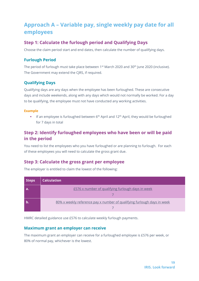# <span id="page-18-0"></span>**Approach A – Variable pay, single weekly pay date for all employees**

### <span id="page-18-1"></span>**Step 1: Calculate the furlough period and Qualifying Days**

Choose the claim period start and end dates, then calculate the number of qualifying days.

### <span id="page-18-2"></span>**Furlough Period**

The period of furlough must take place between  $1<sup>st</sup>$  March 2020 and 30<sup>th</sup> June 2020 (inclusive). The Government may extend the CJRS, if required.

### <span id="page-18-3"></span>**Qualifying Days**

Qualifying days are any days when the employee has been furloughed. These are consecutive days and include weekends, along with any days which would not normally be worked. For a day to be qualifying, the employee must not have conducted any working activities.

#### **Example**

**■** If an employee is furloughed between  $6<sup>th</sup>$  April and  $12<sup>th</sup>$  April, they would be furloughed for 7 days in total

### <span id="page-18-4"></span>**Step 2: Identify furloughed employees who have been or will be paid in the period**

You need to list the employees who you have furloughed or are planning to furlough. For each of these employees you will need to calculate the gross grant due.

### <span id="page-18-5"></span>**Step 3: Calculate the gross grant per employee**

| <b>Steps</b> | <b>Calculation</b>                                                      |
|--------------|-------------------------------------------------------------------------|
|              | £576 x number of qualifying furlough days in week                       |
|              | 80% x weekly reference pay x number of qualifying furlough days in week |

The employer is entitled to claim the lowest of the following:

HMRC detailed guidance use £576 to calculate weekly furlough payments.

### <span id="page-18-6"></span>**Maximum grant an employer can receive**

The maximum grant an employer can receive for a furloughed employee is £576 per week, or 80% of normal pay, whichever is the lowest.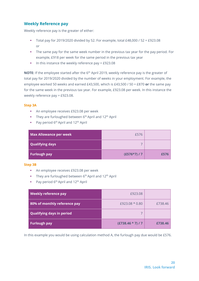### <span id="page-19-0"></span>**Weekly Reference pay**

Weekly reference pay is the greater of either:

- Total pay for 2019/2020 divided by 52. For example, total £48,000 / 52 = £923.08 or
- **•** The same pay for the same week number in the previous tax year for the pay period. For example, £918 per week for the same period in the previous tax year
- **•** In this instance the weekly reference pay = £923.08

**NOTE:** If the employee started after the 6<sup>th</sup> April 2019, weekly reference pay is the greater of total pay for 2019/2020 divided by the number of weeks in your employment. For example, the employee worked 50 weeks and earned £43,500, which is £43,500 / 50 = £870 **or** the same pay for the same week in the previous tax year. For example, £923.08 per week. In this instance the weekly reference pay = £923.08.

#### **Step 3A**

- **EXEC** An employee receives £923.08 per week
- **•** They are furloughed between  $6<sup>th</sup>$  April and 12<sup>th</sup> April
- **•** Pay period  $6<sup>th</sup>$  April and  $12<sup>th</sup>$  April

| <b>Max Allowance per week</b> | £576           |      |
|-------------------------------|----------------|------|
| Qualifying days               |                |      |
| Furlough pay                  | $(E576*7)$ / 7 | £576 |

#### **Step 3B**

- An employee receives £923.08 per week
- **•** They are furloughed between  $6<sup>th</sup>$  April and  $12<sup>th</sup>$  April
- **•** Pay period  $6<sup>th</sup>$  April and  $12<sup>th</sup>$  April

| Weekly reference pay             | £923.08           |         |
|----------------------------------|-------------------|---------|
| 80% of monthly reference pay     | £923.08 * 0.80    | £738.46 |
| <b>Qualifying days in period</b> |                   |         |
| <b>Furlough pay</b>              | $(E738.46 * 7)/7$ | £738.46 |

In this example you would be using calculation method A, the furlough pay due would be £576.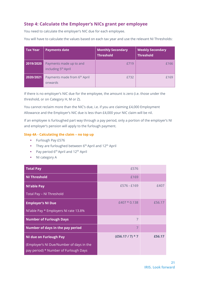### <span id="page-20-0"></span>**Step 4: Calculate the Employer's NICs grant per employee**

You need to calculate the employer's NIC due for each employee.

You will have to calculate the values based on each tax year and use the relevant NI Thresholds:

| <b>Tax Year</b> | <b>Payments date</b>                                       | <b>Monthly Secondary</b><br><b>Threshold</b> | <b>Weekly Secondary</b><br>Threshold |
|-----------------|------------------------------------------------------------|----------------------------------------------|--------------------------------------|
| 2019/2020       | Payments made up to and<br>including 5 <sup>th</sup> April | <b>£719</b>                                  | £166                                 |
| 2020/2021       | Payments made from 6 <sup>th</sup> April<br>onwards        | £732                                         | £169                                 |

If there is no employer's NIC due for the employee, the amount is zero (i.e. those under the threshold, or on Category H, M or Z).

You cannot reclaim more than the NIC's due, i.e. if you are claiming £4,000 Employment Allowance and the Employer's NIC due is less than £4,000 your NIC claim will be nil.

If an employee is furloughed part way through a pay period, only a portion of the employer's NI and employer's pension will apply to the furlough payment.

#### **Step 4A - Calculating the claim – no top up**

- **•** Furlough Pay £576
- **•** They are furloughed between  $6<sup>th</sup>$  April and  $12<sup>th</sup>$  April
- **•** Pay period  $6<sup>th</sup>$  April and  $12<sup>th</sup>$  April
- NI category A

| <b>Total Pay</b>                                                                  | £576           |        |
|-----------------------------------------------------------------------------------|----------------|--------|
| <b>NI Threshold</b>                                                               | £169           |        |
| <b>Nl'able Pay</b>                                                                | £576 - £169    | £407   |
| Total Pay - NI Threshold                                                          |                |        |
| <b>Employer's NI Due</b>                                                          | $£407 * 0.138$ | £56.17 |
| NI'able Pay * Employers NI rate 13.8%                                             |                |        |
| <b>Number of Furlough Days</b>                                                    | 7              |        |
| Number of days in the pay period                                                  | 7              |        |
| <b>NI due on Furlough Pay</b>                                                     | $(E56.17/7)*7$ | £56.17 |
| (Employer's NI Due/Number of days in the<br>pay period) * Number of Furlough Days |                |        |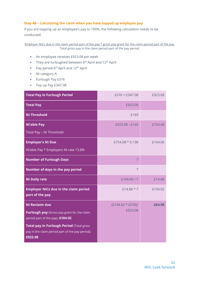#### **Step 4B – Calculating the claim when you have topped up employee pay**

If you are topping up an employee's pay to 100%, the following calculation needs to be conducted:

Employer NICs due in the claim period part of the pay \* gross pay grant for the claim period part of the pay Total gross pay in the claim period part of the pay period

- **EXEC** An employee receives £923.08 per week
- **•** They are furloughed between  $6<sup>th</sup>$  April and  $12<sup>th</sup>$  April
- **•** Pay period  $6<sup>th</sup>$  April and  $12<sup>th</sup>$  April
- NI category A
- **•** Furlough Pay £576
- Top up Pay £347.08

| <b>Total Pay in Furlough Period</b>                                                                      | $£576 + £347.08$     | £923.08 |
|----------------------------------------------------------------------------------------------------------|----------------------|---------|
| <b>Total Pay</b>                                                                                         | £923.08              |         |
| <b>NI Threshold</b>                                                                                      | £169                 |         |
| <b>Nl'able Pay</b>                                                                                       | £923.08 - £169       | £754.08 |
| Total Pay - NI Threshold                                                                                 |                      |         |
| <b>Employer's NI Due</b>                                                                                 | £754.08 * 0.138      | £104.06 |
| NI'able Pay * Employers NI rate 13.8%                                                                    |                      |         |
| <b>Number of Furlough Days</b>                                                                           | $\overline{7}$       |         |
| Number of days in the pay period                                                                         | $\overline{7}$       |         |
| <b>NI Daily rate</b>                                                                                     | £104.06/7            | £14.86  |
| <b>Employer NICs due in the claim period</b><br>part of the pay                                          | £14.86 $*$ 7         | £104.02 |
| <b>NI Reclaim due</b>                                                                                    | $(E104.02 * E576)$ / | £64.90  |
| Furlough pay (Gross pay grant for the claim<br>period part of the pay): £104.02                          | £923.08              |         |
| Total pay in Furlough Period (Total gross<br>pay in the claim period part of the pay period):<br>£923.08 |                      |         |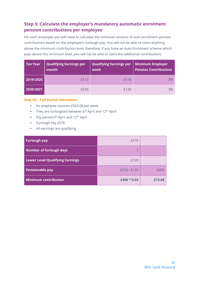### <span id="page-22-0"></span>**Step 5: Calculate the employer's mandatory automatic enrolment pension contributions per employee**

For each employee you will need to calculate the minimum amount of auto enrolment pension contributions based on the employee's furlough pay. You will not be able to claim anything above the minimum contribution level, therefore, if you have an Auto Enrolment scheme which pays above this minimum level, you will not be able to claim the additional contributions.

| <b>Tax Year</b> | <b>Qualifying Earnings per</b><br>$\mathsf{I}$ month | <b>Qualifying Earnings per</b><br>week | Minimum Employer<br><b>Pension Contributions</b> |
|-----------------|------------------------------------------------------|----------------------------------------|--------------------------------------------------|
| 2019/2020       | £512                                                 | £118                                   | 3%                                               |
| 2020/2021       | £520                                                 | £120                                   | 3%                                               |

#### **Step 5A – Full Period Calculation**

- **EXEC** An employee receives £923.08 per week
- **•** They are furloughed between  $6<sup>th</sup>$  April and 12<sup>th</sup> April
- **•** Pay period  $6<sup>th</sup>$  April and  $12<sup>th</sup>$  April
- **•** Furlough Pay £576
- All earnings are qualifying

| <b>Furlough pay</b>                    | £576          |        |
|----------------------------------------|---------------|--------|
| <b>Number of furlough days</b>         |               |        |
| <b>Lower Level Qualifying Earnings</b> | £120          |        |
| <b>Pensionable pay</b>                 | $£576 - £120$ | £456   |
| <b>Minimum contribution</b>            | £456 $*$ 0.03 | £13.68 |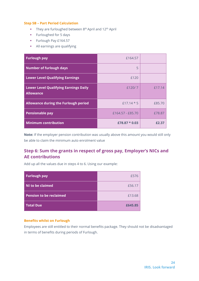#### **Step 5B – Part Period Calculation**

- **They are furloughed between 8th April and 12th April**
- **•** Furloughed for 5 days
- **EXECUTE:** Furlough Pay £164.57
- All earnings are qualifying

| <b>Furlough pay</b>                                              | £164.57          |        |
|------------------------------------------------------------------|------------------|--------|
| <b>Number of furlough days</b>                                   | 5                |        |
| <b>Lower Level Qualifying Earnings</b>                           | £120             |        |
| <b>Lower Level Qualifying Earnings Daily</b><br><b>Allowance</b> | £120/7           | £17.14 |
| Allowance during the Furlough period                             | $f17.14 * 5$     | £85.70 |
| <b>Pensionable pay</b>                                           | £164.57 - £85.70 | £78.87 |
| <b>Minimum contribution</b>                                      | £78.87 $*$ 0.03  | £2.37  |

**Note:** If the employer pension contribution was usually above this amount you would still only be able to claim the minimum auto enrolment value

### <span id="page-23-0"></span>**Step 6: Sum the grants in respect of gross pay, Employer's NICs and AE contributions**

Add up all the values due in steps 4 to 6. Using our example:

| <b>Furlough pay</b>            | £576    |
|--------------------------------|---------|
| NI to be claimed               | £56.17  |
| <b>Pension to be reclaimed</b> | £13.68  |
| <b>Total Due</b>               | £645.85 |

#### **Benefits whilst on Furlough**

Employees are still entitled to their normal benefits package. They should not be disadvantaged in terms of benefits during periods of Furlough.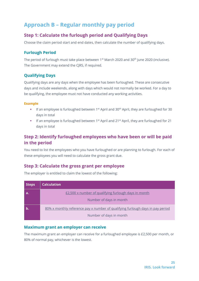# <span id="page-24-0"></span>**Approach B – Regular monthly pay period**

### <span id="page-24-1"></span>**Step 1: Calculate the furlough period and Qualifying Days**

Choose the claim period start and end dates, then calculate the number of qualifying days.

### <span id="page-24-2"></span>**Furlough Period**

The period of furlough must take place between  $1<sup>st</sup>$  March 2020 and 30<sup>th</sup> June 2020 (inclusive). The Government may extend the CJRS, if required.

### <span id="page-24-3"></span>**Qualifying Days**

Qualifying days are any days when the employee has been furloughed. These are consecutive days and include weekends, along with days which would not normally be worked. For a day to be qualifying, the employee must not have conducted any working activities.

#### **Example**

- **•** If an employee is furloughed between 1<sup>st</sup> April and 30<sup>th</sup> April, they are furloughed for 30 days in total
- **■** If an employee is furloughed between 1<sup>st</sup> April and 21<sup>st</sup> April, they are furloughed for 21 days in total

### <span id="page-24-4"></span>**Step 2: Identify furloughed employees who have been or will be paid in the period**

You need to list the employees who you have furloughed or are planning to furlough. For each of these employees you will need to calculate the gross grant due.

### <span id="page-24-5"></span>**Step 3: Calculate the gross grant per employee**

The employer is entitled to claim the lowest of the following:

| <b>Steps</b> | <b>Calculation</b>                                                                    |
|--------------|---------------------------------------------------------------------------------------|
| a.           | £2,500 x number of qualifying furlough days in month                                  |
|              | Number of days in month                                                               |
|              | <u>80% x monthly reference pay x number of qualifying furlough days in pay period</u> |
|              | Number of days in month                                                               |

### <span id="page-24-6"></span>**Maximum grant an employer can receive**

The maximum grant an employer can receive for a furloughed employee is £2,500 per month, or 80% of normal pay, whichever is the lowest.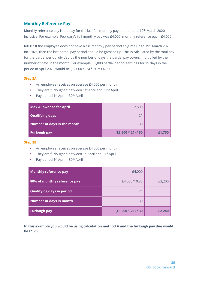### <span id="page-25-0"></span>**Monthly Reference Pay**

Monthly reference pay is the pay for the last full monthly pay period up to 19th March 2020 inclusive. For example, February's full monthly pay was £4,000, monthly reference pay = £4,000.

**NOTE:** If the employee does not have a full monthly pay period anytime up to 19th March 2020 inclusive, then the last partial pay period should be grossed up. This is calculated by the total pay for the partial period, divided by the number of days the partial pay covers, multiplied by the number of days in the month. For example, £2,000 partial period earnings for 15 days in the period in April 2020 would be (£2,000 / 15) \* 30 = £4,000.

#### **Step 3A**

- An employee receives on average £4,000 per month
- They are furloughed between 1st April and 21st April
- **•** Pay period  $1^{st}$  April  $30^{th}$  April

| <b>Max Allowance for April</b> | £2,500               |        |
|--------------------------------|----------------------|--------|
| <b>Qualifying days</b>         | $2^{\prime}$         |        |
| Number of days in the month    | 30                   |        |
| <b>Furlough pay</b>            | $(E2,500 * 21) / 30$ | £1,750 |

#### **Step 3B**

- An employee receives on average £4,000 per month
- They are furloughed between 1<sup>st</sup> April and 21<sup>st</sup> April
- **•** Pay period  $1^{st}$  April  $30^{th}$  April

| Monthly reference pay            | £4,000               |        |
|----------------------------------|----------------------|--------|
| 80% of monthly reference pay     | £4,000 $*$ 0.80      | £3,200 |
| <b>Qualifying days in period</b> | 21                   |        |
| <b>Number of days in month</b>   | 30                   |        |
| <b>Furlough pay</b>              | $(E3,200 * 21) / 30$ | £2,240 |

**In this example you would be using calculation method A and the furlough pay due would be £1,750**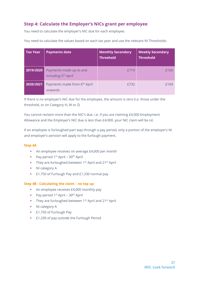### <span id="page-26-0"></span>**Step 4: Calculate the Employer's NICs grant per employee**

You need to calculate the employer's NIC due for each employee.

You need to calculate the values based on each tax year and use the relevant NI Thresholds:

| <b>Tax Year</b> | <b>Payments date</b>                                       | <b>Monthly Secondary</b><br><b>Threshold</b> | <b>Weekly Secondary</b><br><b>Threshold</b> |
|-----------------|------------------------------------------------------------|----------------------------------------------|---------------------------------------------|
| 2019/2020       | Payments made up to and<br>including 5 <sup>th</sup> April | <b>£719</b>                                  | £166                                        |
| 2020/2021       | Payments made from 6 <sup>th</sup> April<br>onwards        | £732                                         | £169                                        |

If there is no employer's NIC due for the employee, the amount is zero (i.e. those under the threshold, or on Category H, M or Z)

You cannot reclaim more than the NIC's due. i.e. if you are claiming £4,000 Employment Allowance and the Employer's NIC due is less than £4,000, your NIC claim will be nil.

If an employee is furloughed part way through a pay period, only a portion of the employer's NI and employer's pension will apply to the furlough payment.

#### **Step 4A**

- An employee receives on average £4,000 per month
- **•** Pay period  $1^{st}$  April  $30^{th}$  April
- They are furloughed between 1<sup>st</sup> April and 21<sup>st</sup> April
- NI category A
- £1,750 of Furlough Pay and £1,330 normal pay

#### **Step 4B - Calculating the claim – no top up**

- An employee receives £4,000 monthly pay
- **•** Pay period  $1^{st}$  April  $30^{th}$  April
- **•** They are furloughed between  $1^{st}$  April and  $21^{st}$  April
- NI category A
- **E** £1,750 of Furlough Pay
- **E** £1,330 of pay outside the Furlough Period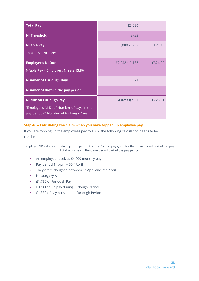| <b>Total Pay</b>                                                                                                    | £3,080              |         |
|---------------------------------------------------------------------------------------------------------------------|---------------------|---------|
| <b>NI Threshold</b>                                                                                                 | £732                |         |
| <b>Nl'able Pay</b><br>Total Pay - NI Threshold                                                                      | £3,080 - £732       | £2,348  |
| <b>Employer's NI Due</b><br>NI'able Pay * Employers NI rate 13.8%                                                   | £2,248 $*$ 0.138    | £324.02 |
| <b>Number of Furlough Days</b>                                                                                      | 21                  |         |
| Number of days in the pay period                                                                                    | 30                  |         |
| <b>NI due on Furlough Pay</b><br>(Employer's NI Due/ Number of days in the<br>pay period) * Number of Furlough Days | $(E324.02/30) * 21$ | £226.81 |

#### **Step 4C – Calculating the claim when you have topped up employee pay**

If you are topping up the employees pay to 100% the following calculation needs to be conducted:

Employer NICs due in the claim period part of the pay \* gross pay grant for the claim period part of the pay Total gross pay in the claim period part of the pay period

- An employee receives £4,000 monthly pay
- $\blacksquare$  Pay period 1<sup>st</sup> April 30<sup>th</sup> April
- They are furloughed between 1<sup>st</sup> April and 21<sup>st</sup> April
- NI category A
- **E** 1,750 of Furlough Pay
- **E920 Top up pay during Furlough Period**
- **E1,330 of pay outside the Furlough Period**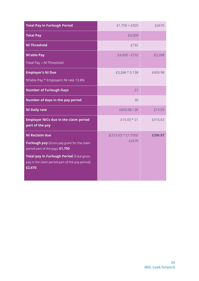| <b>Total Pay in Furlough Period</b>                                                                                                                                                                                | $£1,750 + £920$                 | £2670   |
|--------------------------------------------------------------------------------------------------------------------------------------------------------------------------------------------------------------------|---------------------------------|---------|
| <b>Total Pay</b>                                                                                                                                                                                                   | £4,000                          |         |
| <b>NI Threshold</b>                                                                                                                                                                                                | £732                            |         |
| <b>NI'able Pay</b><br>Total Pay - NI Threshold                                                                                                                                                                     | £4,000 - £732                   | £3,268  |
| <b>Employer's NI Due</b><br>NI'able Pay * Employers NI rate 13.8%                                                                                                                                                  | £3,268 * 0.138                  | £450.98 |
| <b>Number of Furlough Days</b>                                                                                                                                                                                     | 21                              |         |
| Number of days in the pay period                                                                                                                                                                                   | 30                              |         |
| <b>NI Daily rate</b>                                                                                                                                                                                               | £450.98 / 30                    | £15.03  |
| <b>Employer NICs due in the claim period</b><br>part of the pay                                                                                                                                                    | £15.03 $*$ 21                   | £315.63 |
| <b>NI Reclaim due</b><br>Furlough pay (Gross pay grant for the claim<br>period part of the pay): £1,750<br>Total pay in Furlough Period (Total gross<br>pay in the claim period part of the pay period):<br>£2,670 | $(E315.63 * E1,750)$ /<br>£2670 | £206.87 |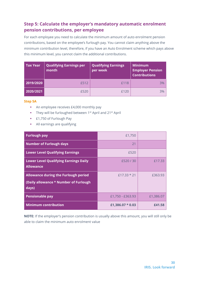### <span id="page-29-0"></span>**Step 5: Calculate the employer's mandatory automatic enrolment pension contributions, per employee**

For each employee you need to calculate the minimum amount of auto enrolment pension contributions, based on the employee's furlough pay. You cannot claim anything above the minimum contribution level, therefore, if you have an Auto Enrolment scheme which pays above this minimum level, you cannot claim the additional contributions.

| <b>Tax Year</b> | <b>Qualifying Earnings per</b><br>month | <b>Qualifying Earnings</b><br>per week | <b>Minimum</b><br><b>Employer Pension</b><br><b>Contributions</b> |
|-----------------|-----------------------------------------|----------------------------------------|-------------------------------------------------------------------|
| 2019/2020       | £512                                    | £118                                   | 3%                                                                |
| 2020/2021       | £520                                    | f120                                   | 3%                                                                |

#### **Step 5A**

- An employee receives £4,000 monthly pay
- They will be furloughed between 1<sup>st</sup> April and 21<sup>st</sup> April
- **E1,750 of Furlough Pay**
- All earnings are qualifying

| <b>Furlough pay</b>                                                                           | £1,750             |           |
|-----------------------------------------------------------------------------------------------|--------------------|-----------|
| <b>Number of Furlough days</b>                                                                | 21                 |           |
| <b>Lower Level Qualifying Earnings</b>                                                        | £520               |           |
| <b>Lower Level Qualifying Earnings Daily</b><br><b>Allowance</b>                              | £520/30            | £17.33    |
| <b>Allowance during the Furlough period</b><br>(Daily allowance * Number of Furlough<br>days) | $f17.33 * 21$      | £363.93   |
| <b>Pensionable pay</b>                                                                        | £1,750 - £363.93   | £1,386.07 |
| <b>Minimum contribution</b>                                                                   | £1.386.07 $*$ 0.03 | £41.58    |

**NOTE:** If the employer's pension contribution is usually above this amount, you will still only be able to claim the minimum auto enrolment value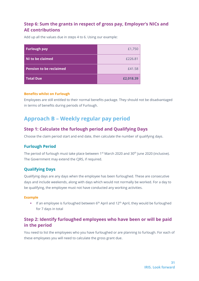### <span id="page-30-0"></span>**Step 6: Sum the grants in respect of gross pay, Employer's NICs and AE contributions**

Add up all the values due in steps 4 to 6. Using our example:

| <b>Furlough pay</b>            | £1,750    |
|--------------------------------|-----------|
| NI to be claimed               | £226.81   |
| <b>Pension to be reclaimed</b> | £41.58    |
| <b>Total Due</b>               | £2,018.39 |

#### **Benefits whilst on Furlough**

Employees are still entitled to their normal benefits package. They should not be disadvantaged in terms of benefits during periods of Furlough.

# <span id="page-30-1"></span>**Approach B – Weekly regular pay period**

### <span id="page-30-2"></span>**Step 1: Calculate the furlough period and Qualifying Days**

Choose the claim period start and end date, then calculate the number of qualifying days.

### <span id="page-30-3"></span>**Furlough Period**

The period of furlough must take place between 1<sup>st</sup> March 2020 and 30<sup>th</sup> June 2020 (inclusive). The Government may extend the CJRS, if required.

### <span id="page-30-4"></span>**Qualifying Days**

Qualifying days are any days when the employee has been furloughed. These are consecutive days and include weekends, along with days which would not normally be worked. For a day to be qualifying, the employee must not have conducted any working activities.

#### **Example**

**•** If an employee is furloughed between  $6<sup>th</sup>$  April and  $12<sup>th</sup>$  April, they would be furloughed for 7 days in total

### <span id="page-30-5"></span>**Step 2: Identify furloughed employees who have been or will be paid in the period**

You need to list the employees who you have furloughed or are planning to furlough. For each of these employees you will need to calculate the gross grant due.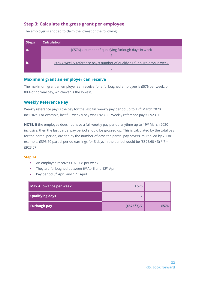### <span id="page-31-0"></span>**Step 3: Calculate the gross grant per employee**

The employer is entitled to claim the lowest of the following:

| <b>Steps</b> | <b>Calculation</b>                                                      |
|--------------|-------------------------------------------------------------------------|
|              | [£576] x number of qualifying furlough days in week                     |
|              | 80% x weekly reference pay x number of qualifying furlough days in week |

#### <span id="page-31-1"></span>**Maximum grant an employer can receive**

The maximum grant an employer can receive for a furloughed employee is £576 per week, or 80% of normal pay, whichever is the lowest.

#### <span id="page-31-2"></span>**Weekly Reference Pay**

Weekly reference pay is the pay for the last full weekly pay period up to 19<sup>th</sup> March 2020 inclusive. For example, last full weekly pay was £923.08. Weekly reference pay = £923.08

**NOTE:** If the employee does not have a full weekly pay period anytime up to 19<sup>th</sup> March 2020 inclusive, then the last partial pay period should be grossed up. This is calculated by the total pay for the partial period, divided by the number of days the partial pay covers, multiplied by 7. For example, £395.60 partial period earnings for 3 days in the period would be (£395.60 / 3)  $*$  7 = £923.07

#### **Step 3A**

- **EXEC** An employee receives £923.08 per week
- **•** They are furloughed between  $6<sup>th</sup>$  April and  $12<sup>th</sup>$  April
- **•** Pay period  $6^{th}$  April and  $12^{th}$  April

| <b>Max Allowance per week</b> | £576         |      |
|-------------------------------|--------------|------|
| Qualifying days               |              |      |
| Furlough pay                  | $(E576*7)/7$ | £576 |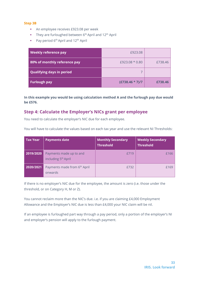#### **Step 3B**

- **EXEC** An employee receives £923.08 per week
- **•** They are furloughed between  $6<sup>th</sup>$  April and  $12<sup>th</sup>$  April
- **•** Pay period  $6<sup>th</sup>$  April and  $12<sup>th</sup>$  April

| Weekly reference pay             | £923.08           |         |
|----------------------------------|-------------------|---------|
| 80% of monthly reference pay     | £923.08 * 0.80    | £738.46 |
| <b>Qualifying days in period</b> |                   |         |
| <b>Furlough pay</b>              | $(E738.46 * 7)/7$ | £738.46 |

**In this example you would be using calculation method A and the furlough pay due would be £576.**

### <span id="page-32-0"></span>**Step 4: Calculate the Employer's NICs grant per employee**

You need to calculate the employer's NIC due for each employee.

You will have to calculate the values based on each tax year and use the relevant NI Thresholds:

| <b>Tax Year</b> | <b>Payments date</b>                                       | <b>Monthly Secondary</b><br><b>Threshold</b> | <b>Weekly Secondary</b><br><b>Threshold</b> |
|-----------------|------------------------------------------------------------|----------------------------------------------|---------------------------------------------|
| 2019/2020       | Payments made up to and<br>including 5 <sup>th</sup> April | <b>£719</b>                                  | £166                                        |
| 2020/2021       | Payments made from 6 <sup>th</sup> April<br>onwards        | £732                                         | £169                                        |

If there is no employer's NIC due for the employee, the amount is zero (i.e. those under the threshold, or on Category H, M or Z).

You cannot reclaim more than the NIC's due. i.e. if you are claiming £4,000 Employment Allowance and the Employer's NIC due is less than £4,000 your NIC claim will be nil.

If an employee is furloughed part way through a pay period, only a portion of the employer's NI and employer's pension will apply to the furlough payment.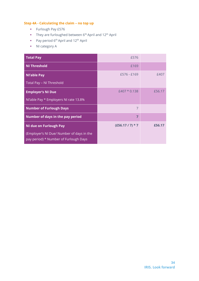#### **Step 4A - Calculating the claim – no top up**

- Furlough Pay £576
- They are furloughed between 6<sup>th</sup> April and 12<sup>th</sup> April
- Pay period 6<sup>th</sup> April and 12<sup>th</sup> April
- NI category A

| <b>Total Pay</b>                                                                   | £576           |        |
|------------------------------------------------------------------------------------|----------------|--------|
| <b>NI Threshold</b>                                                                | £169           |        |
| <b>Nl'able Pay</b>                                                                 | £576 - £169    | £407   |
| Total Pay - NI Threshold                                                           |                |        |
| <b>Employer's NI Due</b>                                                           | $£407 * 0.138$ | £56.17 |
| NI'able Pay * Employers NI rate 13.8%                                              |                |        |
| <b>Number of Furlough Days</b>                                                     | $\overline{7}$ |        |
| Number of days in the pay period                                                   | 7              |        |
| <b>NI due on Furlough Pay</b>                                                      | $(E56.17/7)*7$ | £56.17 |
| (Employer's NI Due/ Number of days in the<br>pay period) * Number of Furlough Days |                |        |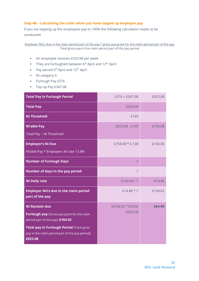#### **Step 4B – Calculating the claim when you have topped up employee pay**

If you are topping up the employees pay to 100% the following calculation needs to be conducted:

Employer NICs due in the claim period part of the pay \* gross pay grant for the claim period part of the pay Total gross pay in the claim period part of the pay period

- An employee receives £923.08 per week
- They are furloughed between 6<sup>th</sup> April and 12<sup>th</sup> April
- **•** Pay period  $6^{th}$  April and  $12^{th}$  April
- NI category A
- **•** Furlough Pay £576
- Top up Pay £347.08

| <b>Total Pay in Furlough Period</b>                                                                      | $£576 + £347.08$     | £923.08 |
|----------------------------------------------------------------------------------------------------------|----------------------|---------|
| <b>Total Pay</b>                                                                                         | £923.08              |         |
| <b>NI Threshold</b>                                                                                      | £169                 |         |
| <b>Nl'able Pay</b>                                                                                       | £923.08 - £169       | £754.08 |
| Total Pay - NI Threshold                                                                                 |                      |         |
| <b>Employer's NI Due</b>                                                                                 | £754.08 $*$ 0.138    | £104.06 |
| NI'able Pay * Employers NI rate 13.8%                                                                    |                      |         |
| <b>Number of Furlough Days</b>                                                                           | $\overline{7}$       |         |
| Number of days in the pay period                                                                         | $\overline{7}$       |         |
| <b>NI Daily rate</b>                                                                                     | £104.06/7            | £14.86  |
| <b>Employer NICs due in the claim period</b><br>part of the pay                                          | £14.86 $*$ 7         | £104.02 |
| <b>NI Reclaim due</b>                                                                                    | $(E104.02 * E576)$ / | £64.90  |
| Furlough pay (Gross pay grant for the claim<br>period part of the pay): £104.02                          | £923.08              |         |
| Total pay in Furlough Period (Total gross<br>pay in the claim period part of the pay period):<br>£923.08 |                      |         |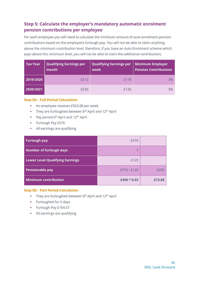### <span id="page-35-0"></span>**Step 5: Calculate the employer's mandatory automatic enrolment pension contributions per employee**

For each employee you will need to calculate the minimum amount of auto enrolment pension contributions based on the employee's furlough pay. You will not be able to claim anything above the minimum contribution level, therefore, if you have an Auto Enrolment scheme which pays above this minimum level, you will not be able to claim the additional contributions.

| <b>Tax Year</b> | <b>Qualifying Earnings per</b><br>month | <b>Qualifying Earnings per</b><br>week | Minimum Employer<br><b>Pension Contributions</b> |
|-----------------|-----------------------------------------|----------------------------------------|--------------------------------------------------|
| 2019/2020       | £512                                    | £118                                   | 3%                                               |
| 2020/2021       | £520                                    | £120                                   | 3%                                               |

#### **Step 5A – Full Period Calculation**

- An employee receives £923.08 per week
- **•** They are furloughed between  $6<sup>th</sup>$  April and 12<sup>th</sup> April
- **•** Pay period  $6<sup>th</sup>$  April and  $12<sup>th</sup>$  April
- **•** Furlough Pay £576
- All earnings are qualifying

| <b>Furlough pay</b>                    | £576          |        |
|----------------------------------------|---------------|--------|
| <b>Number of furlough days</b>         |               |        |
| <b>Lower Level Qualifying Earnings</b> | £120          |        |
| <b>Pensionable pay</b>                 | £576 - £120   | £456   |
| <b>Minimum contribution</b>            | £456 $*$ 0.03 | £13.68 |

#### **Step 5B – Part Period Calculation**

- **•** They are furloughed between  $8<sup>th</sup>$  April and  $12<sup>th</sup>$  April
- **•** Furloughed for 5 days
- **EXECUTE:** Furlough Pay £164.57
- All earnings are qualifying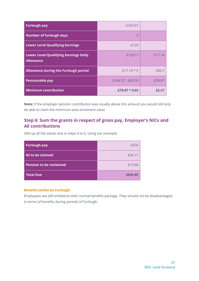| <b>Furlough pay</b>                                              | £164.57          |        |
|------------------------------------------------------------------|------------------|--------|
| <b>Number of furlough days</b>                                   | 5                |        |
| <b>Lower Level Qualifying Earnings</b>                           | £120             |        |
| <b>Lower Level Qualifying Earnings Daily</b><br><b>Allowance</b> | £120/7           | £17.14 |
| <b>Allowance during the Furlough period</b>                      | $f17.14 * 5$     | £85.7  |
| <b>Pensionable pay</b>                                           | £164.57 - £85.70 | £78.87 |
| <b>Minimum contribution</b>                                      | £78.87 $*$ 0.03  |        |

**Note:** If the employer pension contribution was usually above this amount you would still only be able to claim the minimum auto enrolment value

### <span id="page-36-0"></span>**Step 6: Sum the grants in respect of gross pay, Employer's NICs and AE contributions**

Add up all the values due in steps 4 to 6. Using our example:

| <b>Furlough pay</b>            | £576    |
|--------------------------------|---------|
| NI to be claimed               | £56.17  |
| <b>Pension to be reclaimed</b> | £13.68  |
| <b>Total Due</b>               | £645.85 |

#### **Benefits whilst on Furlough**

Employees are still entitled to their normal benefits package. They should not be disadvantaged in terms of benefits during periods of Furlough.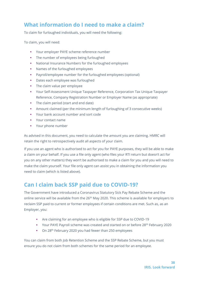# <span id="page-37-0"></span>**What information do I need to make a claim?**

To claim for furloughed individuals, you will need the following:

To claim, you will need:

- Your employer PAYE scheme reference number
- The number of employees being furloughed
- National Insurance Numbers for the furloughed employees
- Names of the furloughed employees
- Payroll/employee number for the furloughed employees (optional)
- Dates each employee was furloughed
- **•** The claim value per employee
- Your Self-Assessment Unique Taxpayer Reference, Corporation Tax Unique Taxpayer Reference, Company Registration Number or Employer Name (as appropriate)
- The claim period (start and end date)
- **•** Amount claimed (per the minimum length of furloughing of 3 consecutive weeks)
- Your bank account number and sort code
- Your contact name
- Your phone number

As advised in this document, you need to calculate the amount you are claiming. HMRC will retain the right to retrospectively audit all aspects of your claim.

If you use an agent who is authorised to act for you for PAYE purposes, they will be able to make a claim on your behalf. If you use a file only agent (who files your RTI return but doesn't act for you on any other matters) they won't be authorised to make a claim for you and you will need to make the claim yourself. Your file only agent can assist you in obtaining the information you need to claim (which is listed above).

# <span id="page-37-1"></span>**Can I claim back SSP paid due to COVID-19?**

The Government have introduced a Coronavirus Statutory Sick Pay Rebate Scheme and the online service will be available from the 26<sup>th</sup> May 2020. This scheme is available for employers to reclaim SSP paid to current or former employees if certain conditions are met. Such as, as an Employer, you:

- Are claiming for an employee who is eligible for SSP due to COVID-19
- Your PAYE Payroll scheme was created and started on or before 28<sup>th</sup> February 2020
- On 28<sup>th</sup> February 2020 you had fewer than 250 employees

You can claim from both Job Retention Scheme and the SSP Rebate Scheme, but you must ensure you do not claim from both schemes for the same period for an employee.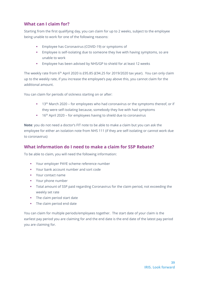### <span id="page-38-0"></span>**What can I claim for?**

Starting from the first qualifying day, you can claim for up to 2 weeks, subject to the employee being unable to work for one of the following reasons:

- Employee has Coronavirus (COVID-19) or symptoms of
- Employee is self-isolating due to someone they live with having symptoms, so are unable to work
- **Employee has been advised by NHS/GP to shield for at least 12 weeks**

The weekly rate from 6th April 2020 is £95.85 (£94.25 for 2019/2020 tax year). You can only claim up to the weekly rate, if you increase the employee's pay above this, you cannot claim for the additional amount.

You can claim for periods of sickness starting on or after:

- 13<sup>th</sup> March 2020 for employees who had coronavirus or the symptoms thereof, or if they were self-isolating because, somebody they live with had symptoms
- 16<sup>th</sup> April 2020 for employees having to shield due to coronavirus

**Note**: you do not need a doctor's FIT note to be able to make a claim but you can ask the employee for either an isolation note from NHS 111 (if they are self-isolating or cannot work due to coronavirus)

### <span id="page-38-1"></span>**What information do I need to make a claim for SSP Rebate?**

To be able to claim, you will need the following information:

- Your employer PAYE scheme reference number
- Your bank account number and sort code
- Your contact name
- Your phone number
- **•** Total amount of SSP paid regarding Coronavirus for the claim period, not exceeding the weekly set rate
- **•** The claim period start date
- **•** The claim period end date

You can claim for multiple periods/employees together. The start date of your claim is the earliest pay period you are claiming for and the end date is the end date of the latest pay period you are claiming for.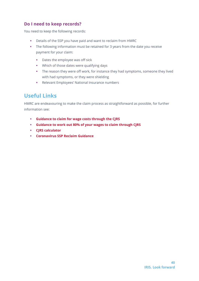### <span id="page-39-0"></span>**Do I need to keep records?**

You need to keep the following records:

- **•** Details of the SSP you have paid and want to reclaim from HMRC
- **•** The following information must be retained for 3 years from the date you receive payment for your claim:
	- Dates the employee was off sick
	- **■** Which of those dates were qualifying days
	- **•** The reason they were off work, for instance they had symptoms, someone they lived with had symptoms, or they were shielding
	- Relevant Employees' National Insurance numbers

# <span id="page-39-1"></span>**Useful Links**

HMRC are endeavouring to make the claim process as straightforward as possible, for further information see:

- **[Guidance to claim for wage costs through the CJRS](https://www.gov.uk/guidance/claim-for-wage-costs-through-the-coronavirus-job-retention-scheme)**
- **[Guidance to work out 80% of your wages to claim through CJRS](https://www.gov.uk/guidance/work-out-80-of-your-employees-wages-to-claim-through-the-coronavirus-job-retention-scheme?utm_source=050b4a63-453d-4aed-93ce-67e981006b92&utm_medium=email&utm_campaign=govuk-notifications&utm_content=immediate)**
- **[CJRS calculator](https://www.tax.service.gov.uk/job-retention-scheme-calculator/?_ga=2.181034020.2091949645.1587402281-387771673.1586716679)**
- **[Coronavirus SSP Reclaim Guidance](https://www.gov.uk/guidance/claim-back-statutory-sick-pay-paid-to-employees-due-to-coronavirus-covid-19#who-can-use-the-scheme)**